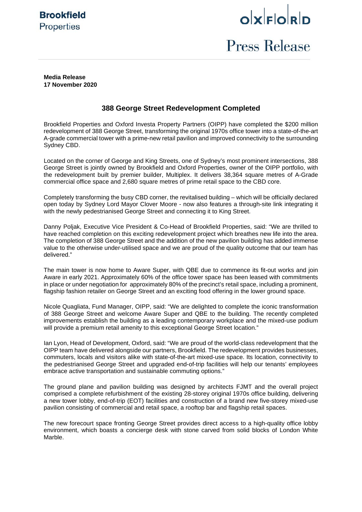

 $o$ <sub>k</sub> $|E|$ <sub>c</sub> $|E|$ 

# Press Release

**Media Release 17 November 2020**

## **388 George Street Redevelopment Completed**

Brookfield Properties and Oxford Investa Property Partners (OIPP) have completed the \$200 million redevelopment of 388 George Street, transforming the original 1970s office tower into a state-of-the-art A-grade commercial tower with a prime-new retail pavilion and improved connectivity to the surrounding Sydney CBD.

Located on the corner of George and King Streets, one of Sydney's most prominent intersections, 388 George Street is jointly owned by Brookfield and Oxford Properties, owner of the OIPP portfolio, with the redevelopment built by premier builder, Multiplex. It delivers 38,364 square metres of A-Grade commercial office space and 2,680 square metres of prime retail space to the CBD core.

Completely transforming the busy CBD corner, the revitalised building – which will be officially declared open today by Sydney Lord Mayor Clover Moore - now also features a through-site link integrating it with the newly pedestrianised George Street and connecting it to King Street.

Danny Poljak, Executive Vice President & Co-Head of Brookfield Properties, said: "We are thrilled to have reached completion on this exciting redevelopment project which breathes new life into the area. The completion of 388 George Street and the addition of the new pavilion building has added immense value to the otherwise under-utilised space and we are proud of the quality outcome that our team has delivered."

The main tower is now home to Aware Super, with QBE due to commence its fit-out works and join Aware in early 2021. Approximately 60% of the office tower space has been leased with commitments in place or under negotiation for approximately 80% of the precinct's retail space, including a prominent, flagship fashion retailer on George Street and an exciting food offering in the lower ground space.

Nicole Quagliata, Fund Manager, OIPP, said: "We are delighted to complete the iconic transformation of 388 George Street and welcome Aware Super and QBE to the building. The recently completed improvements establish the building as a leading contemporary workplace and the mixed-use podium will provide a premium retail amenity to this exceptional George Street location."

Ian Lyon, Head of Development, Oxford, said: "We are proud of the world-class redevelopment that the OIPP team have delivered alongside our partners, Brookfield. The redevelopment provides businesses, commuters, locals and visitors alike with state-of-the-art mixed-use space. Its location, connectivity to the pedestrianised George Street and upgraded end-of-trip facilities will help our tenants' employees embrace active transportation and sustainable commuting options."

The ground plane and pavilion building was designed by architects FJMT and the overall project comprised a complete refurbishment of the existing 28-storey original 1970s office building, delivering a new tower lobby, end-of-trip (EOT) facilities and construction of a brand new five-storey mixed-use pavilion consisting of commercial and retail space, a rooftop bar and flagship retail spaces.

The new forecourt space fronting George Street provides direct access to a high-quality office lobby environment, which boasts a concierge desk with stone carved from solid blocks of London White Marble.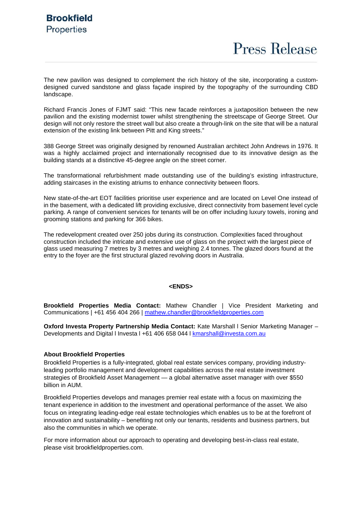**Press Release** 

The new pavilion was designed to complement the rich history of the site, incorporating a customdesigned curved sandstone and glass façade inspired by the topography of the surrounding CBD landscape.

Richard Francis Jones of FJMT said: "This new facade reinforces a juxtaposition between the new pavilion and the existing modernist tower whilst strengthening the streetscape of George Street. Our design will not only restore the street wall but also create a through-link on the site that will be a natural extension of the existing link between Pitt and King streets."

388 George Street was originally designed by renowned Australian architect John Andrews in 1976. It was a highly acclaimed project and internationally recognised due to its innovative design as the building stands at a distinctive 45-degree angle on the street corner.

The transformational refurbishment made outstanding use of the building's existing infrastructure, adding staircases in the existing atriums to enhance connectivity between floors.

New state-of-the-art EOT facilities prioritise user experience and are located on Level One instead of in the basement, with a dedicated lift providing exclusive, direct connectivity from basement level cycle parking. A range of convenient services for tenants will be on offer including luxury towels, ironing and grooming stations and parking for 366 bikes.

The redevelopment created over 250 jobs during its construction. Complexities faced throughout construction included the intricate and extensive use of glass on the project with the largest piece of glass used measuring 7 metres by 3 metres and weighing 2.4 tonnes. The glazed doors found at the entry to the foyer are the first structural glazed revolving doors in Australia.

#### **<ENDS>**

**Brookfield Properties Media Contact:** Mathew Chandler | Vice President Marketing and Communications | +61 456 404 266 | [mathew.chandler@brookfieldproperties.com](mailto:mathew.chandler@brookfieldproperties.com)

**Oxford Investa Property Partnership Media Contact:** Kate Marshall l Senior Marketing Manager – Developments and Digital I Investa I +61 406 658 044 I [kmarshall@investa.com.au](mailto:efletcher@investa.com.au)

#### **About Brookfield Properties**

Brookfield Properties is a fully-integrated, global real estate services company, providing industryleading portfolio management and development capabilities across the real estate investment strategies of Brookfield Asset Management — a global alternative asset manager with over \$550 billion in AUM.

Brookfield Properties develops and manages premier real estate with a focus on maximizing the tenant experience in addition to the investment and operational performance of the asset. We also focus on integrating leading-edge real estate technologies which enables us to be at the forefront of innovation and sustainability – benefiting not only our tenants, residents and business partners, but also the communities in which we operate.

For more information about our approach to operating and developing best-in-class real estate, please visit brookfieldproperties.com.